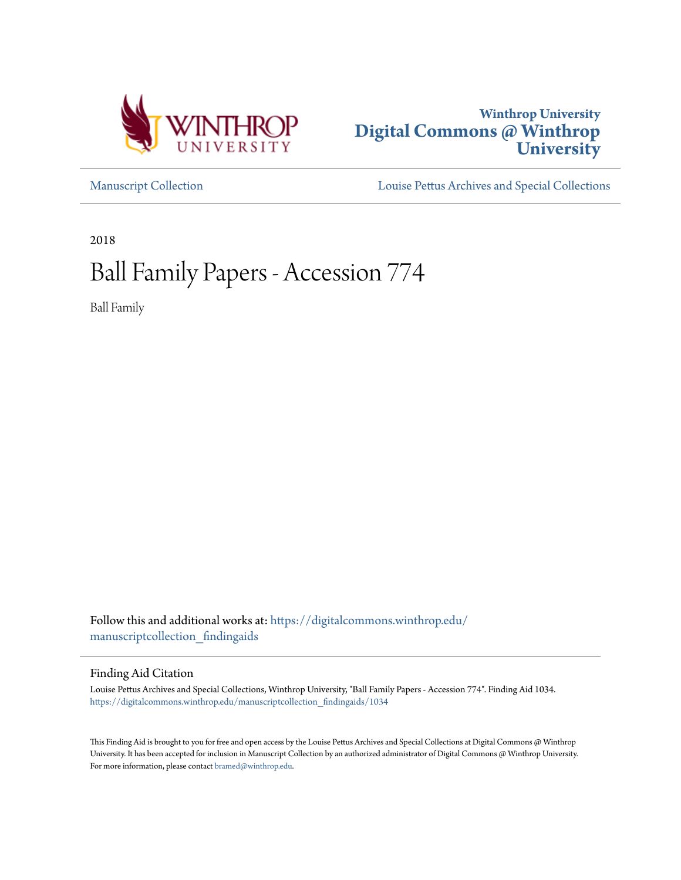



[Manuscript Collection](https://digitalcommons.winthrop.edu/manuscriptcollection_findingaids?utm_source=digitalcommons.winthrop.edu%2Fmanuscriptcollection_findingaids%2F1034&utm_medium=PDF&utm_campaign=PDFCoverPages) [Louise Pettus Archives and Special Collections](https://digitalcommons.winthrop.edu/pettus_archives?utm_source=digitalcommons.winthrop.edu%2Fmanuscriptcollection_findingaids%2F1034&utm_medium=PDF&utm_campaign=PDFCoverPages)

2018

# Ball Family Papers - Accession 774

Ball Family

Follow this and additional works at: [https://digitalcommons.winthrop.edu/](https://digitalcommons.winthrop.edu/manuscriptcollection_findingaids?utm_source=digitalcommons.winthrop.edu%2Fmanuscriptcollection_findingaids%2F1034&utm_medium=PDF&utm_campaign=PDFCoverPages) [manuscriptcollection\\_findingaids](https://digitalcommons.winthrop.edu/manuscriptcollection_findingaids?utm_source=digitalcommons.winthrop.edu%2Fmanuscriptcollection_findingaids%2F1034&utm_medium=PDF&utm_campaign=PDFCoverPages)

Finding Aid Citation

Louise Pettus Archives and Special Collections, Winthrop University, "Ball Family Papers - Accession 774". Finding Aid 1034. [https://digitalcommons.winthrop.edu/manuscriptcollection\\_findingaids/1034](https://digitalcommons.winthrop.edu/manuscriptcollection_findingaids/1034?utm_source=digitalcommons.winthrop.edu%2Fmanuscriptcollection_findingaids%2F1034&utm_medium=PDF&utm_campaign=PDFCoverPages)

This Finding Aid is brought to you for free and open access by the Louise Pettus Archives and Special Collections at Digital Commons @ Winthrop University. It has been accepted for inclusion in Manuscript Collection by an authorized administrator of Digital Commons @ Winthrop University. For more information, please contact  $\operatorname{bramed}(\partial\mathrm{with} \mathrm{trop.edu}.$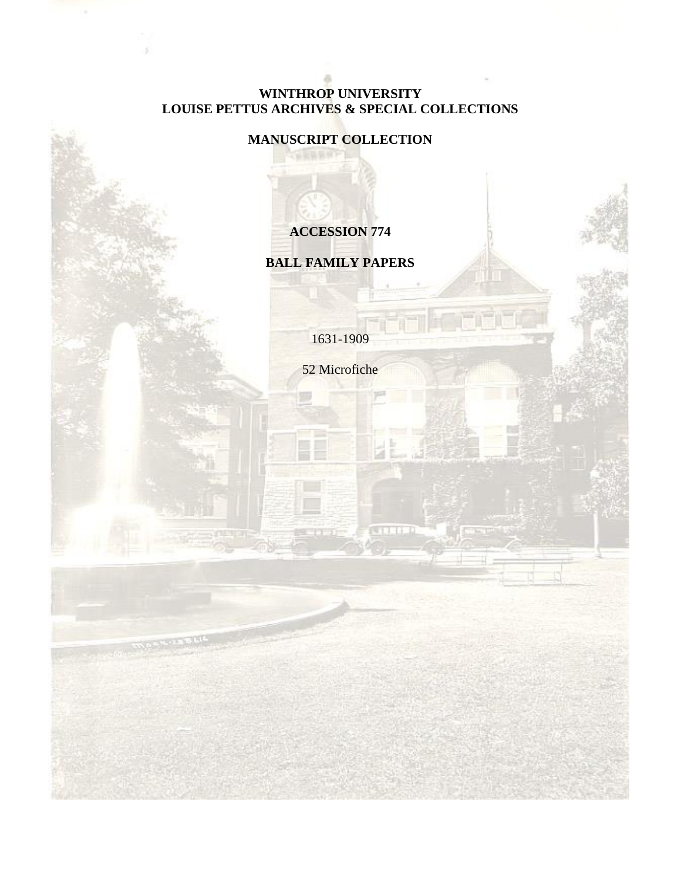#### **WINTHROP UNIVERSITY LOUISE PETTUS ARCHIVES & SPECIAL COLLECTIONS**

# **MANUSCRIPT COLLECTION**

# **ACCESSION 774**

# **BALL FAMILY PAPERS**

1631-1909

52 Microfiche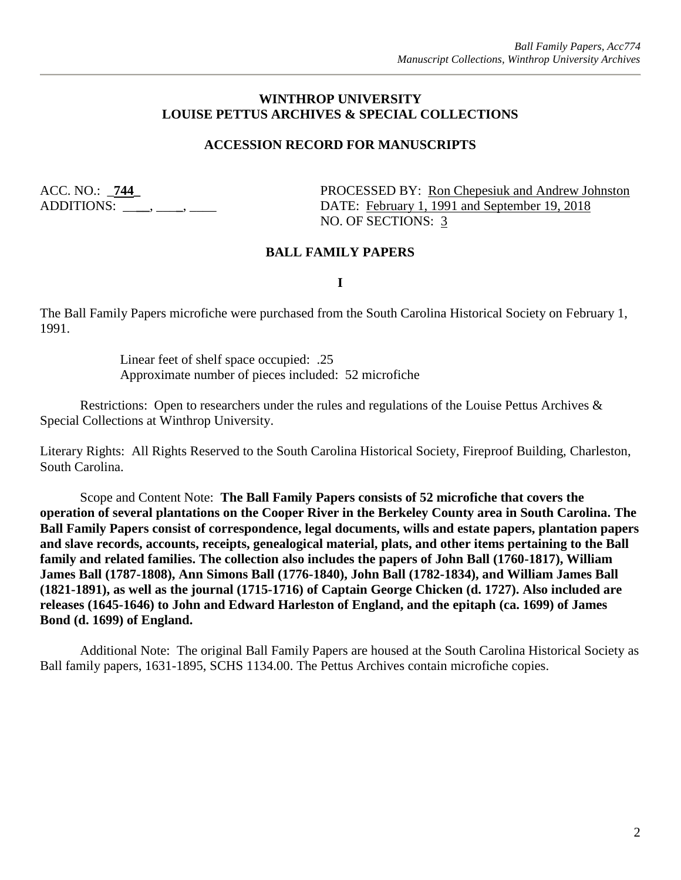#### **WINTHROP UNIVERSITY LOUISE PETTUS ARCHIVES & SPECIAL COLLECTIONS**

#### **ACCESSION RECORD FOR MANUSCRIPTS**

ACC. NO.: \_**744\_** PROCESSED BY: Ron Chepesiuk and Andrew Johnston ADDITIONS: \_\_\_\_\_, \_\_\_\_, \_\_\_\_\_ DATE: February 1, 1991 and September 19, 2018 NO. OF SECTIONS: 3

#### **BALL FAMILY PAPERS**

**I**

The Ball Family Papers microfiche were purchased from the South Carolina Historical Society on February 1, 1991.

> Linear feet of shelf space occupied: .25 Approximate number of pieces included: 52 microfiche

Restrictions: Open to researchers under the rules and regulations of the Louise Pettus Archives & Special Collections at Winthrop University.

Literary Rights: All Rights Reserved to the South Carolina Historical Society, Fireproof Building, Charleston, South Carolina.

Scope and Content Note: **The Ball Family Papers consists of 52 microfiche that covers the operation of several plantations on the Cooper River in the Berkeley County area in South Carolina. The Ball Family Papers consist of correspondence, legal documents, wills and estate papers, plantation papers and slave records, accounts, receipts, genealogical material, plats, and other items pertaining to the Ball family and related families. The collection also includes the papers of John Ball (1760-1817), William James Ball (1787-1808), Ann Simons Ball (1776-1840), John Ball (1782-1834), and William James Ball (1821-1891), as well as the journal (1715-1716) of Captain George Chicken (d. 1727). Also included are releases (1645-1646) to John and Edward Harleston of England, and the epitaph (ca. 1699) of James Bond (d. 1699) of England.**

Additional Note: The original Ball Family Papers are housed at the South Carolina Historical Society as Ball family papers, 1631-1895, SCHS 1134.00. The Pettus Archives contain microfiche copies.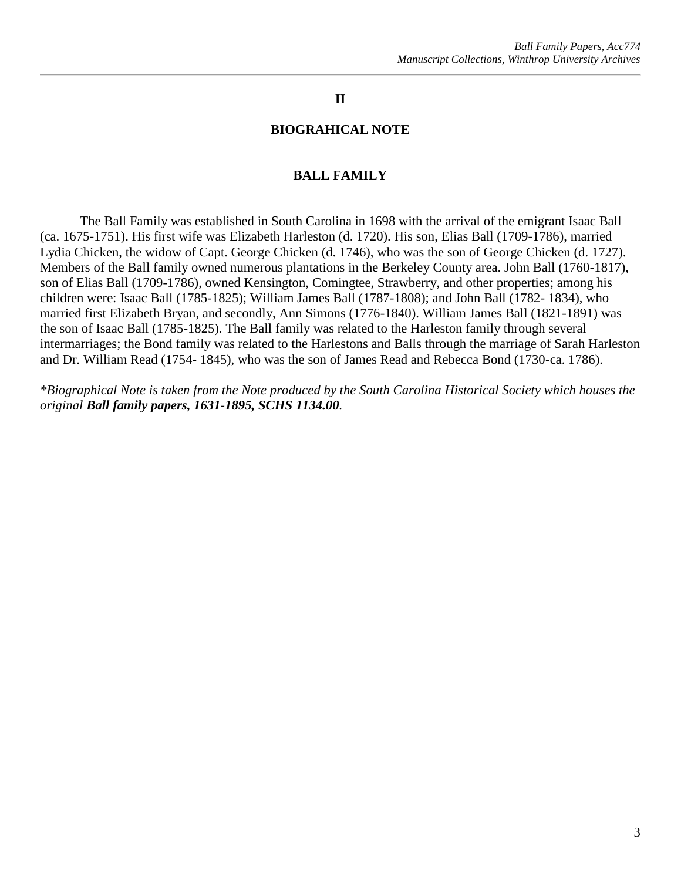#### **II**

#### **BIOGRAHICAL NOTE**

#### **BALL FAMILY**

The Ball Family was established in South Carolina in 1698 with the arrival of the emigrant Isaac Ball (ca. 1675-1751). His first wife was Elizabeth Harleston (d. 1720). His son, Elias Ball (1709-1786), married Lydia Chicken, the widow of Capt. George Chicken (d. 1746), who was the son of George Chicken (d. 1727). Members of the Ball family owned numerous plantations in the Berkeley County area. John Ball (1760-1817), son of Elias Ball (1709-1786), owned Kensington, Comingtee, Strawberry, and other properties; among his children were: Isaac Ball (1785-1825); William James Ball (1787-1808); and John Ball (1782- 1834), who married first Elizabeth Bryan, and secondly, Ann Simons (1776-1840). William James Ball (1821-1891) was the son of Isaac Ball (1785-1825). The Ball family was related to the Harleston family through several intermarriages; the Bond family was related to the Harlestons and Balls through the marriage of Sarah Harleston and Dr. William Read (1754- 1845), who was the son of James Read and Rebecca Bond (1730-ca. 1786).

*\*Biographical Note is taken from the Note produced by the South Carolina Historical Society which houses the original Ball family papers, 1631-1895, SCHS 1134.00.*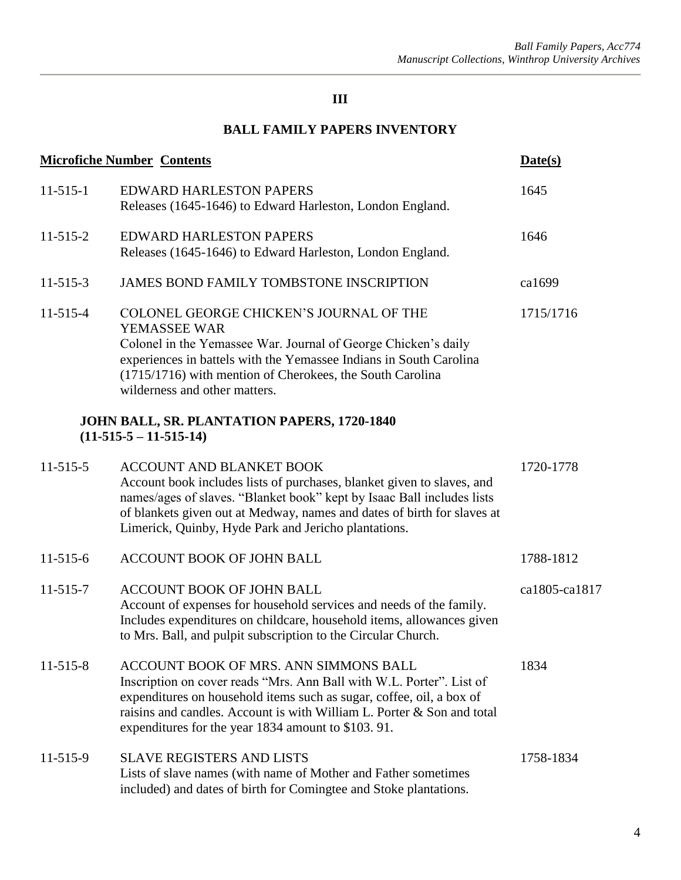# **BALL FAMILY PAPERS INVENTORY**

|                                                                       | <b>Microfiche Number Contents</b>                                                                                                                                                                                                                                                                                      | Date(s)       |
|-----------------------------------------------------------------------|------------------------------------------------------------------------------------------------------------------------------------------------------------------------------------------------------------------------------------------------------------------------------------------------------------------------|---------------|
| $11 - 515 - 1$                                                        | <b>EDWARD HARLESTON PAPERS</b><br>Releases (1645-1646) to Edward Harleston, London England.                                                                                                                                                                                                                            | 1645          |
| $11 - 515 - 2$                                                        | <b>EDWARD HARLESTON PAPERS</b><br>Releases (1645-1646) to Edward Harleston, London England.                                                                                                                                                                                                                            | 1646          |
| $11 - 515 - 3$                                                        | <b>JAMES BOND FAMILY TOMBSTONE INSCRIPTION</b>                                                                                                                                                                                                                                                                         | ca1699        |
| $11 - 515 - 4$                                                        | COLONEL GEORGE CHICKEN'S JOURNAL OF THE<br>YEMASSEE WAR<br>Colonel in the Yemassee War. Journal of George Chicken's daily<br>experiences in battels with the Yemassee Indians in South Carolina<br>(1715/1716) with mention of Cherokees, the South Carolina<br>wilderness and other matters.                          | 1715/1716     |
| JOHN BALL, SR. PLANTATION PAPERS, 1720-1840<br>$(11-515-5-11-515-14)$ |                                                                                                                                                                                                                                                                                                                        |               |
| $11 - 515 - 5$                                                        | <b>ACCOUNT AND BLANKET BOOK</b><br>Account book includes lists of purchases, blanket given to slaves, and<br>names/ages of slaves. "Blanket book" kept by Isaac Ball includes lists<br>of blankets given out at Medway, names and dates of birth for slaves at<br>Limerick, Quinby, Hyde Park and Jericho plantations. | 1720-1778     |
| $11-515-6$                                                            | ACCOUNT BOOK OF JOHN BALL                                                                                                                                                                                                                                                                                              | 1788-1812     |
| $11 - 515 - 7$                                                        | <b>ACCOUNT BOOK OF JOHN BALL</b><br>Account of expenses for household services and needs of the family.<br>Includes expenditures on childcare, household items, allowances given<br>to Mrs. Ball, and pulpit subscription to the Circular Church.                                                                      | ca1805-ca1817 |
| $11 - 515 - 8$                                                        | ACCOUNT BOOK OF MRS. ANN SIMMONS BALL<br>Inscription on cover reads "Mrs. Ann Ball with W.L. Porter". List of<br>expenditures on household items such as sugar, coffee, oil, a box of<br>raisins and candles. Account is with William L. Porter & Son and total<br>expenditures for the year 1834 amount to \$103.91.  | 1834          |
| $11 - 515 - 9$                                                        | <b>SLAVE REGISTERS AND LISTS</b><br>Lists of slave names (with name of Mother and Father sometimes<br>included) and dates of birth for Comingtee and Stoke plantations.                                                                                                                                                | 1758-1834     |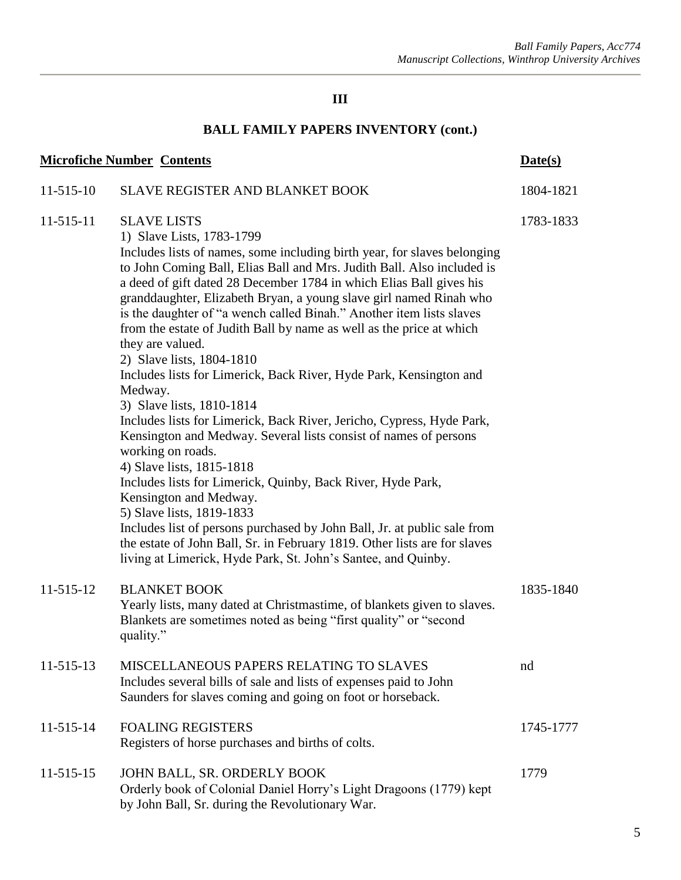| <b>Microfiche Number Contents</b> |                                                                                                                                                                                                                                                                                                                                                                                                                                                                                                                                                                                                                                                                                                                                                                                                                                                                                                                                                                                                                                                                                                                                                                                                                  | Date(s)   |
|-----------------------------------|------------------------------------------------------------------------------------------------------------------------------------------------------------------------------------------------------------------------------------------------------------------------------------------------------------------------------------------------------------------------------------------------------------------------------------------------------------------------------------------------------------------------------------------------------------------------------------------------------------------------------------------------------------------------------------------------------------------------------------------------------------------------------------------------------------------------------------------------------------------------------------------------------------------------------------------------------------------------------------------------------------------------------------------------------------------------------------------------------------------------------------------------------------------------------------------------------------------|-----------|
| $11 - 515 - 10$                   | <b>SLAVE REGISTER AND BLANKET BOOK</b>                                                                                                                                                                                                                                                                                                                                                                                                                                                                                                                                                                                                                                                                                                                                                                                                                                                                                                                                                                                                                                                                                                                                                                           | 1804-1821 |
| 11-515-11                         | <b>SLAVE LISTS</b><br>1) Slave Lists, 1783-1799<br>Includes lists of names, some including birth year, for slaves belonging<br>to John Coming Ball, Elias Ball and Mrs. Judith Ball. Also included is<br>a deed of gift dated 28 December 1784 in which Elias Ball gives his<br>granddaughter, Elizabeth Bryan, a young slave girl named Rinah who<br>is the daughter of "a wench called Binah." Another item lists slaves<br>from the estate of Judith Ball by name as well as the price at which<br>they are valued.<br>2) Slave lists, 1804-1810<br>Includes lists for Limerick, Back River, Hyde Park, Kensington and<br>Medway.<br>3) Slave lists, 1810-1814<br>Includes lists for Limerick, Back River, Jericho, Cypress, Hyde Park,<br>Kensington and Medway. Several lists consist of names of persons<br>working on roads.<br>4) Slave lists, 1815-1818<br>Includes lists for Limerick, Quinby, Back River, Hyde Park,<br>Kensington and Medway.<br>5) Slave lists, 1819-1833<br>Includes list of persons purchased by John Ball, Jr. at public sale from<br>the estate of John Ball, Sr. in February 1819. Other lists are for slaves<br>living at Limerick, Hyde Park, St. John's Santee, and Quinby. | 1783-1833 |
| 11-515-12                         | <b>BLANKET BOOK</b><br>Yearly lists, many dated at Christmastime, of blankets given to slaves.<br>Blankets are sometimes noted as being "first quality" or "second<br>quality."                                                                                                                                                                                                                                                                                                                                                                                                                                                                                                                                                                                                                                                                                                                                                                                                                                                                                                                                                                                                                                  | 1835-1840 |
| 11-515-13                         | MISCELLANEOUS PAPERS RELATING TO SLAVES<br>Includes several bills of sale and lists of expenses paid to John<br>Saunders for slaves coming and going on foot or horseback.                                                                                                                                                                                                                                                                                                                                                                                                                                                                                                                                                                                                                                                                                                                                                                                                                                                                                                                                                                                                                                       | nd        |
| 11-515-14                         | <b>FOALING REGISTERS</b><br>Registers of horse purchases and births of colts.                                                                                                                                                                                                                                                                                                                                                                                                                                                                                                                                                                                                                                                                                                                                                                                                                                                                                                                                                                                                                                                                                                                                    | 1745-1777 |
| 11-515-15                         | JOHN BALL, SR. ORDERLY BOOK<br>Orderly book of Colonial Daniel Horry's Light Dragoons (1779) kept<br>by John Ball, Sr. during the Revolutionary War.                                                                                                                                                                                                                                                                                                                                                                                                                                                                                                                                                                                                                                                                                                                                                                                                                                                                                                                                                                                                                                                             | 1779      |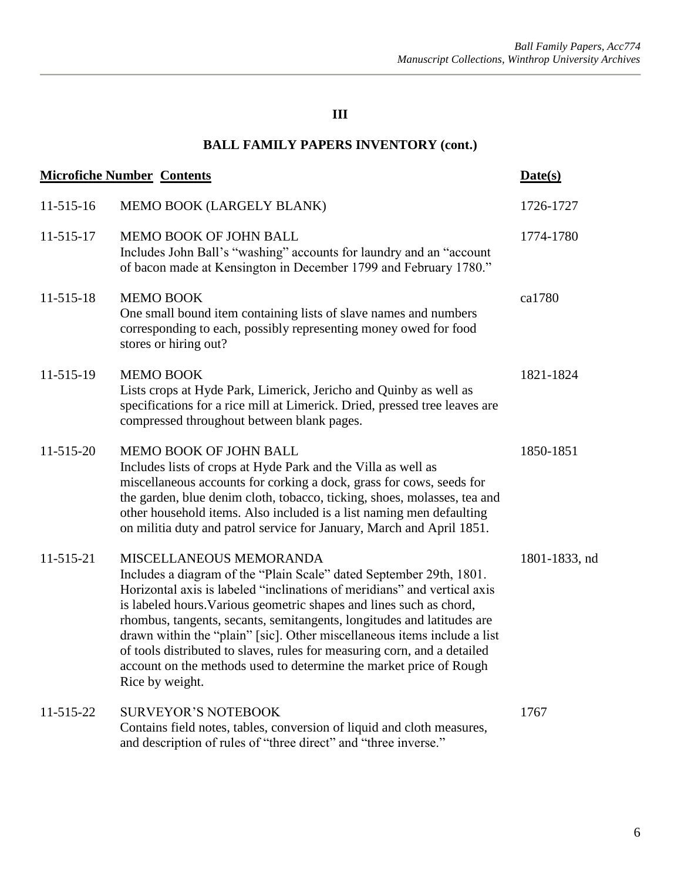|           | <b>Microfiche Number Contents</b>                                                                                                                                                                                                                                                                                                                                                                                                                                                                                                                                            | Date(s)       |
|-----------|------------------------------------------------------------------------------------------------------------------------------------------------------------------------------------------------------------------------------------------------------------------------------------------------------------------------------------------------------------------------------------------------------------------------------------------------------------------------------------------------------------------------------------------------------------------------------|---------------|
| 11-515-16 | MEMO BOOK (LARGELY BLANK)                                                                                                                                                                                                                                                                                                                                                                                                                                                                                                                                                    | 1726-1727     |
| 11-515-17 | <b>MEMO BOOK OF JOHN BALL</b><br>Includes John Ball's "washing" accounts for laundry and an "account<br>of bacon made at Kensington in December 1799 and February 1780."                                                                                                                                                                                                                                                                                                                                                                                                     | 1774-1780     |
| 11-515-18 | <b>MEMO BOOK</b><br>One small bound item containing lists of slave names and numbers<br>corresponding to each, possibly representing money owed for food<br>stores or hiring out?                                                                                                                                                                                                                                                                                                                                                                                            | ca1780        |
| 11-515-19 | <b>MEMO BOOK</b><br>Lists crops at Hyde Park, Limerick, Jericho and Quinby as well as<br>specifications for a rice mill at Limerick. Dried, pressed tree leaves are<br>compressed throughout between blank pages.                                                                                                                                                                                                                                                                                                                                                            | 1821-1824     |
| 11-515-20 | MEMO BOOK OF JOHN BALL<br>Includes lists of crops at Hyde Park and the Villa as well as<br>miscellaneous accounts for corking a dock, grass for cows, seeds for<br>the garden, blue denim cloth, tobacco, ticking, shoes, molasses, tea and<br>other household items. Also included is a list naming men defaulting<br>on militia duty and patrol service for January, March and April 1851.                                                                                                                                                                                 | 1850-1851     |
| 11-515-21 | MISCELLANEOUS MEMORANDA<br>Includes a diagram of the "Plain Scale" dated September 29th, 1801.<br>Horizontal axis is labeled "inclinations of meridians" and vertical axis<br>is labeled hours. Various geometric shapes and lines such as chord,<br>rhombus, tangents, secants, semitangents, longitudes and latitudes are<br>drawn within the "plain" [sic]. Other miscellaneous items include a list<br>of tools distributed to slaves, rules for measuring corn, and a detailed<br>account on the methods used to determine the market price of Rough<br>Rice by weight. | 1801-1833, nd |
| 11-515-22 | <b>SURVEYOR'S NOTEBOOK</b><br>Contains field notes, tables, conversion of liquid and cloth measures,<br>and description of rules of "three direct" and "three inverse."                                                                                                                                                                                                                                                                                                                                                                                                      | 1767          |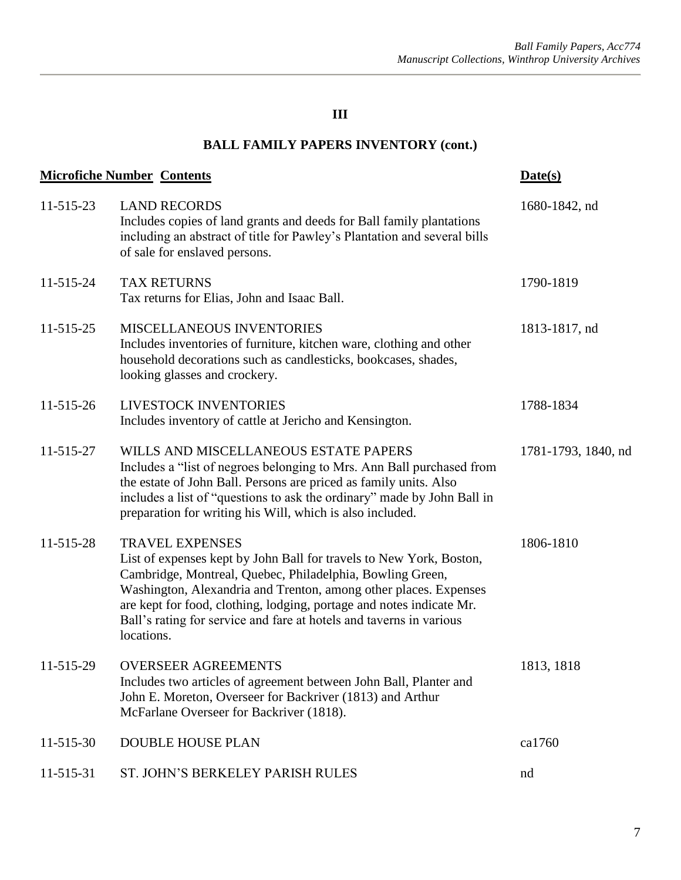| <b>Microfiche Number Contents</b> |                                                                                                                                                                                                                                                                                                                                                                                             | Date(s)             |
|-----------------------------------|---------------------------------------------------------------------------------------------------------------------------------------------------------------------------------------------------------------------------------------------------------------------------------------------------------------------------------------------------------------------------------------------|---------------------|
| 11-515-23                         | <b>LAND RECORDS</b><br>Includes copies of land grants and deeds for Ball family plantations<br>including an abstract of title for Pawley's Plantation and several bills<br>of sale for enslaved persons.                                                                                                                                                                                    | 1680-1842, nd       |
| 11-515-24                         | <b>TAX RETURNS</b><br>Tax returns for Elias, John and Isaac Ball.                                                                                                                                                                                                                                                                                                                           | 1790-1819           |
| 11-515-25                         | MISCELLANEOUS INVENTORIES<br>Includes inventories of furniture, kitchen ware, clothing and other<br>household decorations such as candlesticks, bookcases, shades,<br>looking glasses and crockery.                                                                                                                                                                                         | 1813-1817, nd       |
| 11-515-26                         | LIVESTOCK INVENTORIES<br>Includes inventory of cattle at Jericho and Kensington.                                                                                                                                                                                                                                                                                                            | 1788-1834           |
| 11-515-27                         | WILLS AND MISCELLANEOUS ESTATE PAPERS<br>Includes a "list of negroes belonging to Mrs. Ann Ball purchased from<br>the estate of John Ball. Persons are priced as family units. Also<br>includes a list of "questions to ask the ordinary" made by John Ball in<br>preparation for writing his Will, which is also included.                                                                 | 1781-1793, 1840, nd |
| 11-515-28                         | <b>TRAVEL EXPENSES</b><br>List of expenses kept by John Ball for travels to New York, Boston,<br>Cambridge, Montreal, Quebec, Philadelphia, Bowling Green,<br>Washington, Alexandria and Trenton, among other places. Expenses<br>are kept for food, clothing, lodging, portage and notes indicate Mr.<br>Ball's rating for service and fare at hotels and taverns in various<br>locations. | 1806-1810           |
| 11-515-29                         | <b>OVERSEER AGREEMENTS</b><br>Includes two articles of agreement between John Ball, Planter and<br>John E. Moreton, Overseer for Backriver (1813) and Arthur<br>McFarlane Overseer for Backriver (1818).                                                                                                                                                                                    | 1813, 1818          |
| 11-515-30                         | <b>DOUBLE HOUSE PLAN</b>                                                                                                                                                                                                                                                                                                                                                                    | ca1760              |
| 11-515-31                         | ST. JOHN'S BERKELEY PARISH RULES                                                                                                                                                                                                                                                                                                                                                            | nd                  |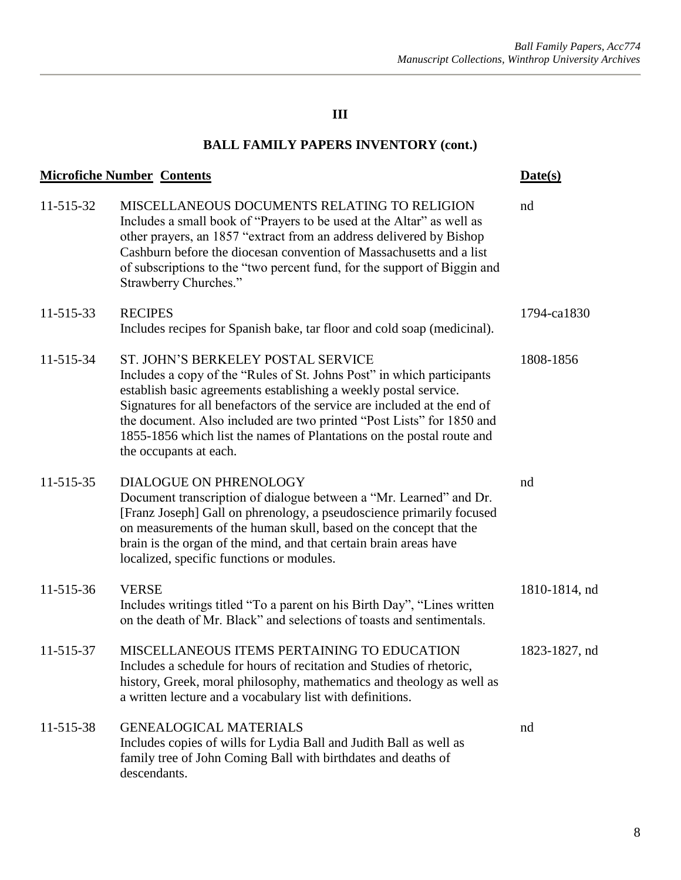| <b>Microfiche Number Contents</b> |                                                                                                                                                                                                                                                                                                                                                                                                                                          | Date(s)       |
|-----------------------------------|------------------------------------------------------------------------------------------------------------------------------------------------------------------------------------------------------------------------------------------------------------------------------------------------------------------------------------------------------------------------------------------------------------------------------------------|---------------|
| 11-515-32                         | MISCELLANEOUS DOCUMENTS RELATING TO RELIGION<br>Includes a small book of "Prayers to be used at the Altar" as well as<br>other prayers, an 1857 "extract from an address delivered by Bishop<br>Cashburn before the diocesan convention of Massachusetts and a list<br>of subscriptions to the "two percent fund, for the support of Biggin and<br>Strawberry Churches."                                                                 | nd            |
| 11-515-33                         | <b>RECIPES</b><br>Includes recipes for Spanish bake, tar floor and cold soap (medicinal).                                                                                                                                                                                                                                                                                                                                                | 1794-ca1830   |
| 11-515-34                         | ST. JOHN'S BERKELEY POSTAL SERVICE<br>Includes a copy of the "Rules of St. Johns Post" in which participants<br>establish basic agreements establishing a weekly postal service.<br>Signatures for all benefactors of the service are included at the end of<br>the document. Also included are two printed "Post Lists" for 1850 and<br>1855-1856 which list the names of Plantations on the postal route and<br>the occupants at each. | 1808-1856     |
| 11-515-35                         | DIALOGUE ON PHRENOLOGY<br>Document transcription of dialogue between a "Mr. Learned" and Dr.<br>[Franz Joseph] Gall on phrenology, a pseudoscience primarily focused<br>on measurements of the human skull, based on the concept that the<br>brain is the organ of the mind, and that certain brain areas have<br>localized, specific functions or modules.                                                                              | nd            |
| 11-515-36                         | <b>VERSE</b><br>Includes writings titled "To a parent on his Birth Day", "Lines written<br>on the death of Mr. Black" and selections of toasts and sentimentals.                                                                                                                                                                                                                                                                         | 1810-1814, nd |
| 11-515-37                         | MISCELLANEOUS ITEMS PERTAINING TO EDUCATION<br>Includes a schedule for hours of recitation and Studies of rhetoric.<br>history, Greek, moral philosophy, mathematics and theology as well as<br>a written lecture and a vocabulary list with definitions.                                                                                                                                                                                | 1823-1827, nd |
| 11-515-38                         | <b>GENEALOGICAL MATERIALS</b><br>Includes copies of wills for Lydia Ball and Judith Ball as well as<br>family tree of John Coming Ball with birthdates and deaths of<br>descendants.                                                                                                                                                                                                                                                     | nd            |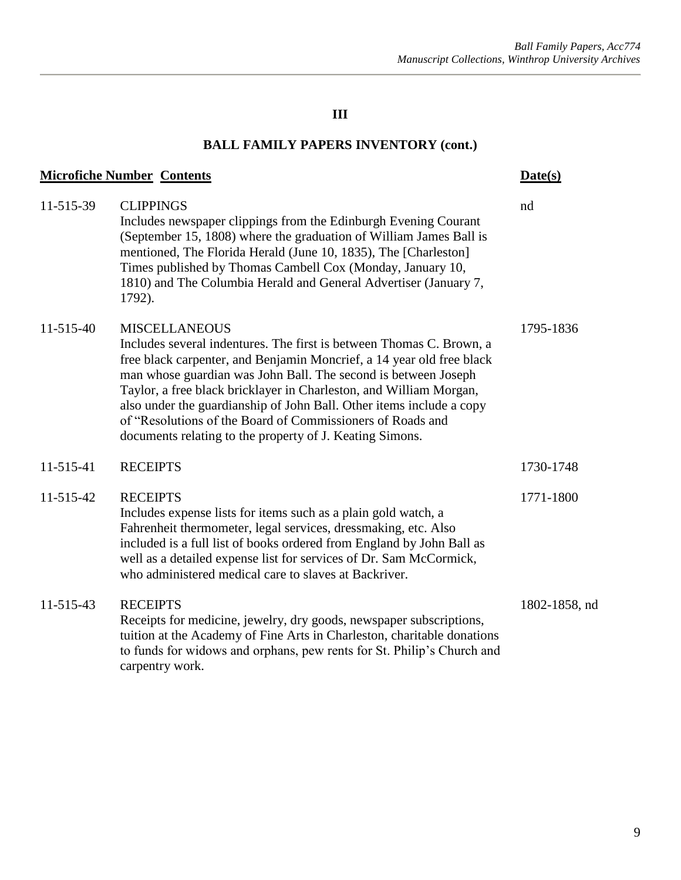| <b>Microfiche Number Contents</b> |                                                                                                                                                                                                                                                                                                                                                                                                                                                                                                                 | Date(s)       |
|-----------------------------------|-----------------------------------------------------------------------------------------------------------------------------------------------------------------------------------------------------------------------------------------------------------------------------------------------------------------------------------------------------------------------------------------------------------------------------------------------------------------------------------------------------------------|---------------|
| 11-515-39                         | <b>CLIPPINGS</b><br>Includes newspaper clippings from the Edinburgh Evening Courant<br>(September 15, 1808) where the graduation of William James Ball is<br>mentioned, The Florida Herald (June 10, 1835), The [Charleston]<br>Times published by Thomas Cambell Cox (Monday, January 10,<br>1810) and The Columbia Herald and General Advertiser (January 7,<br>1792).                                                                                                                                        | nd            |
| 11-515-40                         | <b>MISCELLANEOUS</b><br>Includes several indentures. The first is between Thomas C. Brown, a<br>free black carpenter, and Benjamin Moncrief, a 14 year old free black<br>man whose guardian was John Ball. The second is between Joseph<br>Taylor, a free black bricklayer in Charleston, and William Morgan,<br>also under the guardianship of John Ball. Other items include a copy<br>of "Resolutions of the Board of Commissioners of Roads and<br>documents relating to the property of J. Keating Simons. | 1795-1836     |
| 11-515-41                         | <b>RECEIPTS</b>                                                                                                                                                                                                                                                                                                                                                                                                                                                                                                 | 1730-1748     |
| 11-515-42                         | <b>RECEIPTS</b><br>Includes expense lists for items such as a plain gold watch, a<br>Fahrenheit thermometer, legal services, dressmaking, etc. Also<br>included is a full list of books ordered from England by John Ball as<br>well as a detailed expense list for services of Dr. Sam McCormick,<br>who administered medical care to slaves at Backriver.                                                                                                                                                     | 1771-1800     |
| 11-515-43                         | <b>RECEIPTS</b><br>Receipts for medicine, jewelry, dry goods, newspaper subscriptions,<br>tuition at the Academy of Fine Arts in Charleston, charitable donations<br>to funds for widows and orphans, pew rents for St. Philip's Church and<br>carpentry work.                                                                                                                                                                                                                                                  | 1802-1858, nd |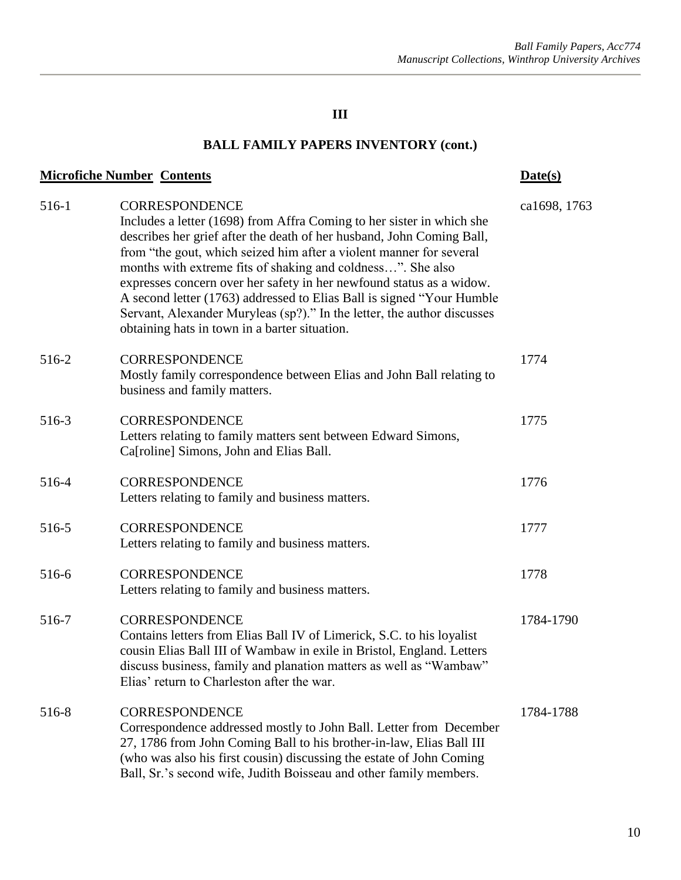| <b>Microfiche Number Contents</b> |                                                                                                                                                                                                                                                                                                                                                                                                                                                                                                                                                                                      | Date(s)      |
|-----------------------------------|--------------------------------------------------------------------------------------------------------------------------------------------------------------------------------------------------------------------------------------------------------------------------------------------------------------------------------------------------------------------------------------------------------------------------------------------------------------------------------------------------------------------------------------------------------------------------------------|--------------|
| 516-1                             | CORRESPONDENCE<br>Includes a letter (1698) from Affra Coming to her sister in which she<br>describes her grief after the death of her husband, John Coming Ball,<br>from "the gout, which seized him after a violent manner for several<br>months with extreme fits of shaking and coldness". She also<br>expresses concern over her safety in her newfound status as a widow.<br>A second letter (1763) addressed to Elias Ball is signed "Your Humble"<br>Servant, Alexander Muryleas (sp?)." In the letter, the author discusses<br>obtaining hats in town in a barter situation. | ca1698, 1763 |
| 516-2                             | <b>CORRESPONDENCE</b><br>Mostly family correspondence between Elias and John Ball relating to<br>business and family matters.                                                                                                                                                                                                                                                                                                                                                                                                                                                        | 1774         |
| 516-3                             | <b>CORRESPONDENCE</b><br>Letters relating to family matters sent between Edward Simons,<br>Ca[roline] Simons, John and Elias Ball.                                                                                                                                                                                                                                                                                                                                                                                                                                                   | 1775         |
| 516-4                             | <b>CORRESPONDENCE</b><br>Letters relating to family and business matters.                                                                                                                                                                                                                                                                                                                                                                                                                                                                                                            | 1776         |
| 516-5                             | <b>CORRESPONDENCE</b><br>Letters relating to family and business matters.                                                                                                                                                                                                                                                                                                                                                                                                                                                                                                            | 1777         |
| 516-6                             | <b>CORRESPONDENCE</b><br>Letters relating to family and business matters.                                                                                                                                                                                                                                                                                                                                                                                                                                                                                                            | 1778         |
| 516-7                             | <b>CORRESPONDENCE</b><br>Contains letters from Elias Ball IV of Limerick, S.C. to his loyalist<br>cousin Elias Ball III of Wambaw in exile in Bristol, England. Letters<br>discuss business, family and planation matters as well as "Wambaw"<br>Elias' return to Charleston after the war.                                                                                                                                                                                                                                                                                          | 1784-1790    |
| 516-8                             | <b>CORRESPONDENCE</b><br>Correspondence addressed mostly to John Ball. Letter from December<br>27, 1786 from John Coming Ball to his brother-in-law, Elias Ball III<br>(who was also his first cousin) discussing the estate of John Coming<br>Ball, Sr.'s second wife, Judith Boisseau and other family members.                                                                                                                                                                                                                                                                    | 1784-1788    |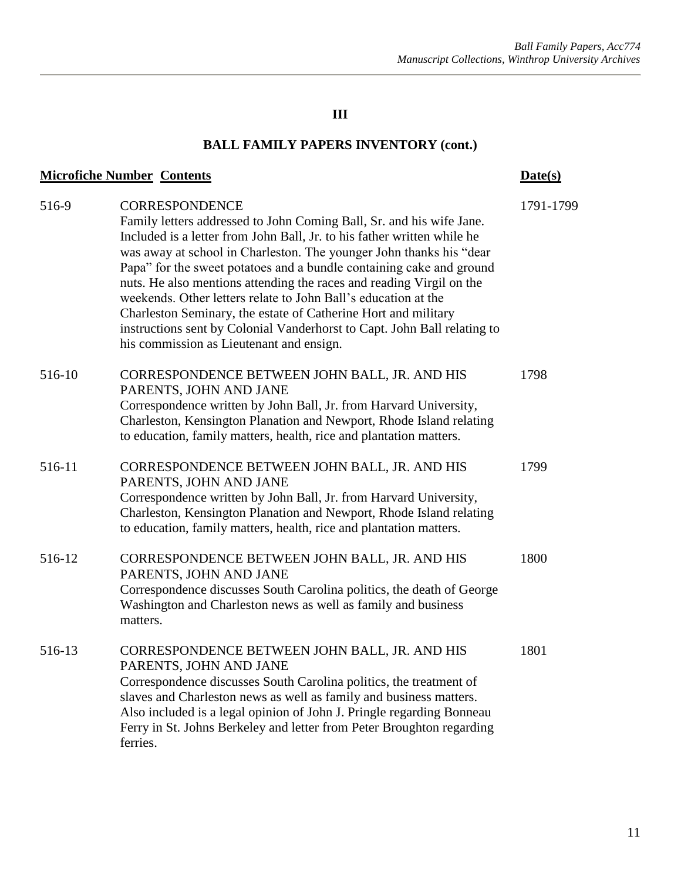| <b>Microfiche Number Contents</b> |                                                                                                                                                                                                                                                                                                                                                                                                                                                                                                                                                                                                                                                             | Date(s)   |
|-----------------------------------|-------------------------------------------------------------------------------------------------------------------------------------------------------------------------------------------------------------------------------------------------------------------------------------------------------------------------------------------------------------------------------------------------------------------------------------------------------------------------------------------------------------------------------------------------------------------------------------------------------------------------------------------------------------|-----------|
| 516-9                             | <b>CORRESPONDENCE</b><br>Family letters addressed to John Coming Ball, Sr. and his wife Jane.<br>Included is a letter from John Ball, Jr. to his father written while he<br>was away at school in Charleston. The younger John thanks his "dear<br>Papa" for the sweet potatoes and a bundle containing cake and ground<br>nuts. He also mentions attending the races and reading Virgil on the<br>weekends. Other letters relate to John Ball's education at the<br>Charleston Seminary, the estate of Catherine Hort and military<br>instructions sent by Colonial Vanderhorst to Capt. John Ball relating to<br>his commission as Lieutenant and ensign. | 1791-1799 |
| 516-10                            | CORRESPONDENCE BETWEEN JOHN BALL, JR. AND HIS<br>PARENTS, JOHN AND JANE<br>Correspondence written by John Ball, Jr. from Harvard University,<br>Charleston, Kensington Planation and Newport, Rhode Island relating<br>to education, family matters, health, rice and plantation matters.                                                                                                                                                                                                                                                                                                                                                                   | 1798      |
| 516-11                            | CORRESPONDENCE BETWEEN JOHN BALL, JR. AND HIS<br>PARENTS, JOHN AND JANE<br>Correspondence written by John Ball, Jr. from Harvard University,<br>Charleston, Kensington Planation and Newport, Rhode Island relating<br>to education, family matters, health, rice and plantation matters.                                                                                                                                                                                                                                                                                                                                                                   | 1799      |
| 516-12                            | CORRESPONDENCE BETWEEN JOHN BALL, JR. AND HIS<br>PARENTS, JOHN AND JANE<br>Correspondence discusses South Carolina politics, the death of George<br>Washington and Charleston news as well as family and business<br>matters.                                                                                                                                                                                                                                                                                                                                                                                                                               | 1800      |
| 516-13                            | CORRESPONDENCE BETWEEN JOHN BALL, JR. AND HIS<br>PARENTS, JOHN AND JANE<br>Correspondence discusses South Carolina politics, the treatment of<br>slaves and Charleston news as well as family and business matters.<br>Also included is a legal opinion of John J. Pringle regarding Bonneau<br>Ferry in St. Johns Berkeley and letter from Peter Broughton regarding<br>ferries.                                                                                                                                                                                                                                                                           | 1801      |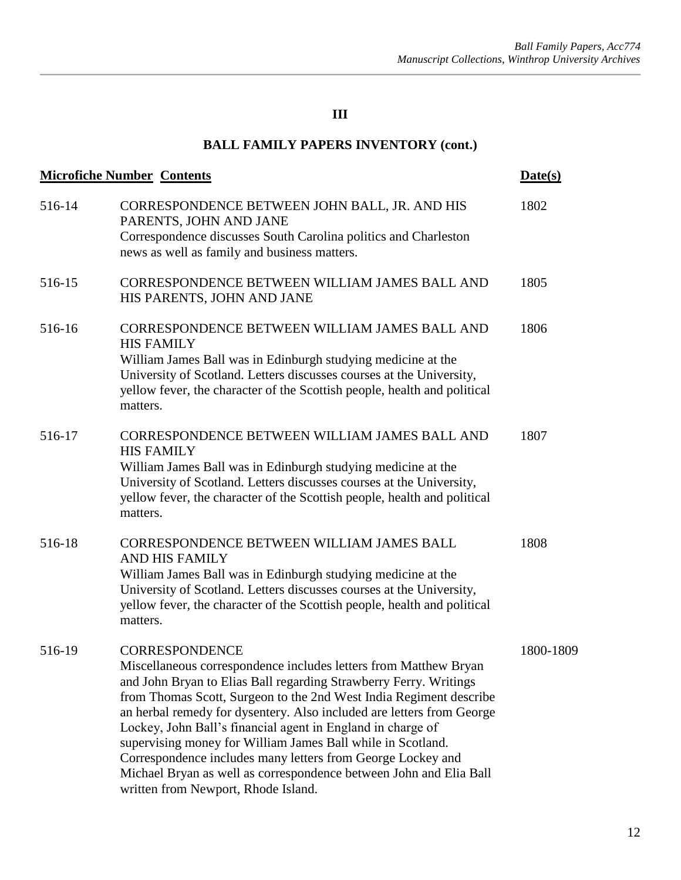| <b>Microfiche Number Contents</b> |                                                                                                                                                                                                                                                                                                                                                                                                                                                                                                                                                                                                                         | Date(s)   |
|-----------------------------------|-------------------------------------------------------------------------------------------------------------------------------------------------------------------------------------------------------------------------------------------------------------------------------------------------------------------------------------------------------------------------------------------------------------------------------------------------------------------------------------------------------------------------------------------------------------------------------------------------------------------------|-----------|
| 516-14                            | CORRESPONDENCE BETWEEN JOHN BALL, JR. AND HIS<br>PARENTS, JOHN AND JANE<br>Correspondence discusses South Carolina politics and Charleston<br>news as well as family and business matters.                                                                                                                                                                                                                                                                                                                                                                                                                              | 1802      |
| 516-15                            | CORRESPONDENCE BETWEEN WILLIAM JAMES BALL AND<br>HIS PARENTS, JOHN AND JANE                                                                                                                                                                                                                                                                                                                                                                                                                                                                                                                                             | 1805      |
| 516-16                            | CORRESPONDENCE BETWEEN WILLIAM JAMES BALL AND<br><b>HIS FAMILY</b><br>William James Ball was in Edinburgh studying medicine at the<br>University of Scotland. Letters discusses courses at the University,<br>yellow fever, the character of the Scottish people, health and political<br>matters.                                                                                                                                                                                                                                                                                                                      | 1806      |
| 516-17                            | CORRESPONDENCE BETWEEN WILLIAM JAMES BALL AND<br><b>HIS FAMILY</b><br>William James Ball was in Edinburgh studying medicine at the<br>University of Scotland. Letters discusses courses at the University,<br>yellow fever, the character of the Scottish people, health and political<br>matters.                                                                                                                                                                                                                                                                                                                      | 1807      |
| 516-18                            | CORRESPONDENCE BETWEEN WILLIAM JAMES BALL<br>AND HIS FAMILY<br>William James Ball was in Edinburgh studying medicine at the<br>University of Scotland. Letters discusses courses at the University,<br>yellow fever, the character of the Scottish people, health and political<br>matters.                                                                                                                                                                                                                                                                                                                             | 1808      |
| 516-19                            | <b>CORRESPONDENCE</b><br>Miscellaneous correspondence includes letters from Matthew Bryan<br>and John Bryan to Elias Ball regarding Strawberry Ferry. Writings<br>from Thomas Scott, Surgeon to the 2nd West India Regiment describe<br>an herbal remedy for dysentery. Also included are letters from George<br>Lockey, John Ball's financial agent in England in charge of<br>supervising money for William James Ball while in Scotland.<br>Correspondence includes many letters from George Lockey and<br>Michael Bryan as well as correspondence between John and Elia Ball<br>written from Newport, Rhode Island. | 1800-1809 |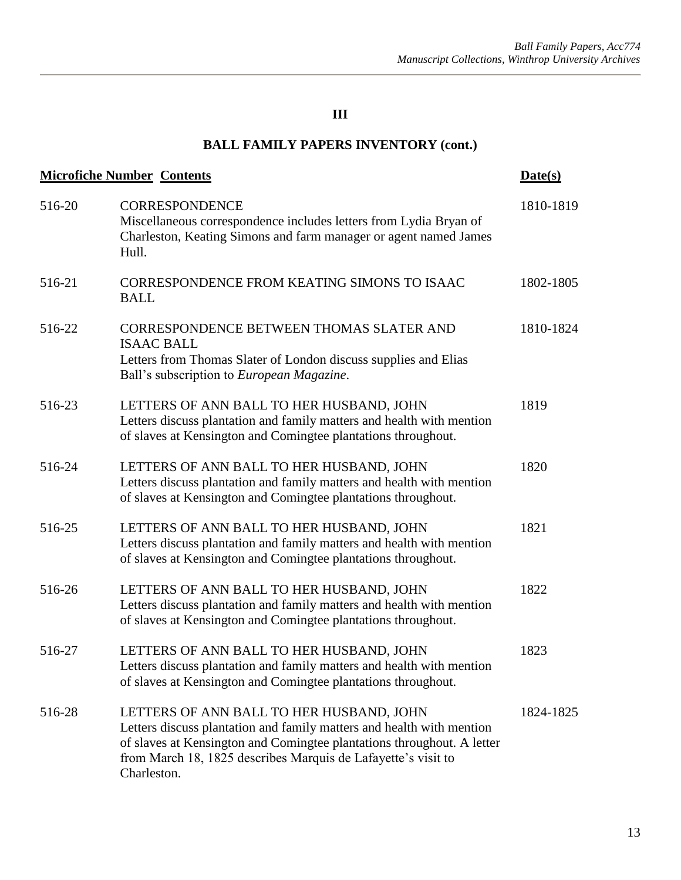|        | <b>Microfiche Number Contents</b>                                                                                                                                                                                                                                           | Date(s)   |
|--------|-----------------------------------------------------------------------------------------------------------------------------------------------------------------------------------------------------------------------------------------------------------------------------|-----------|
| 516-20 | <b>CORRESPONDENCE</b><br>Miscellaneous correspondence includes letters from Lydia Bryan of<br>Charleston, Keating Simons and farm manager or agent named James<br>Hull.                                                                                                     | 1810-1819 |
| 516-21 | CORRESPONDENCE FROM KEATING SIMONS TO ISAAC<br><b>BALL</b>                                                                                                                                                                                                                  | 1802-1805 |
| 516-22 | CORRESPONDENCE BETWEEN THOMAS SLATER AND<br><b>ISAAC BALL</b><br>Letters from Thomas Slater of London discuss supplies and Elias<br>Ball's subscription to European Magazine.                                                                                               | 1810-1824 |
| 516-23 | LETTERS OF ANN BALL TO HER HUSBAND, JOHN<br>Letters discuss plantation and family matters and health with mention<br>of slaves at Kensington and Comingtee plantations throughout.                                                                                          | 1819      |
| 516-24 | LETTERS OF ANN BALL TO HER HUSBAND, JOHN<br>Letters discuss plantation and family matters and health with mention<br>of slaves at Kensington and Comingtee plantations throughout.                                                                                          | 1820      |
| 516-25 | LETTERS OF ANN BALL TO HER HUSBAND, JOHN<br>Letters discuss plantation and family matters and health with mention<br>of slaves at Kensington and Comingtee plantations throughout.                                                                                          | 1821      |
| 516-26 | LETTERS OF ANN BALL TO HER HUSBAND, JOHN<br>Letters discuss plantation and family matters and health with mention<br>of slaves at Kensington and Comingtee plantations throughout.                                                                                          | 1822      |
| 516-27 | LETTERS OF ANN BALL TO HER HUSBAND, JOHN<br>Letters discuss plantation and family matters and health with mention<br>of slaves at Kensington and Comingtee plantations throughout.                                                                                          | 1823      |
| 516-28 | LETTERS OF ANN BALL TO HER HUSBAND, JOHN<br>Letters discuss plantation and family matters and health with mention<br>of slaves at Kensington and Comingtee plantations throughout. A letter<br>from March 18, 1825 describes Marquis de Lafayette's visit to<br>Charleston. | 1824-1825 |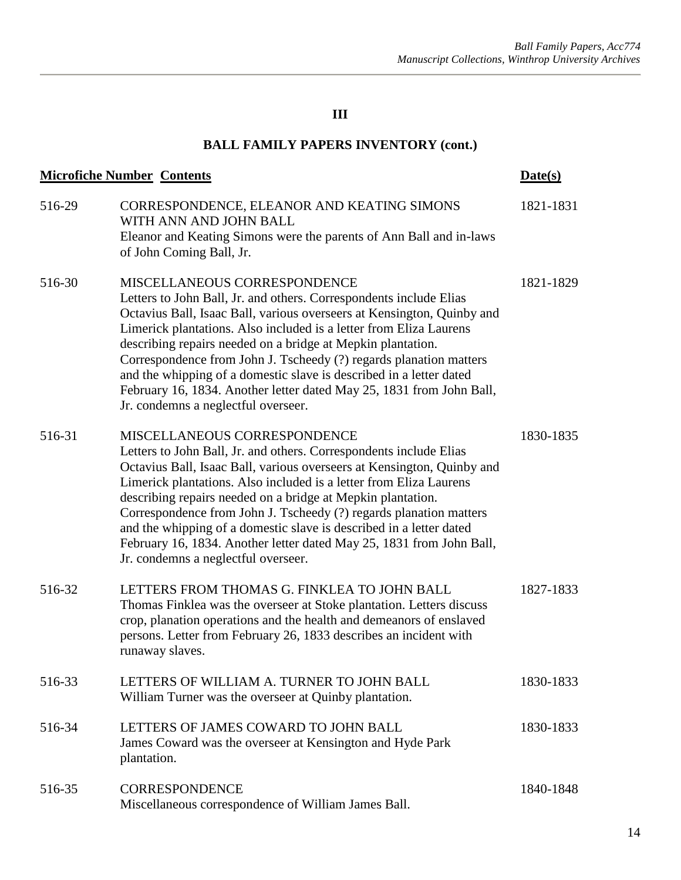| <b>Microfiche Number Contents</b> |                                                                                                                                                                                                                                                                                                                                                                                                                                                                                                                                                                               | Date(s)   |
|-----------------------------------|-------------------------------------------------------------------------------------------------------------------------------------------------------------------------------------------------------------------------------------------------------------------------------------------------------------------------------------------------------------------------------------------------------------------------------------------------------------------------------------------------------------------------------------------------------------------------------|-----------|
| 516-29                            | CORRESPONDENCE, ELEANOR AND KEATING SIMONS<br>WITH ANN AND JOHN BALL<br>Eleanor and Keating Simons were the parents of Ann Ball and in-laws<br>of John Coming Ball, Jr.                                                                                                                                                                                                                                                                                                                                                                                                       | 1821-1831 |
| 516-30                            | MISCELLANEOUS CORRESPONDENCE<br>Letters to John Ball, Jr. and others. Correspondents include Elias<br>Octavius Ball, Isaac Ball, various overseers at Kensington, Quinby and<br>Limerick plantations. Also included is a letter from Eliza Laurens<br>describing repairs needed on a bridge at Mepkin plantation.<br>Correspondence from John J. Tscheedy (?) regards planation matters<br>and the whipping of a domestic slave is described in a letter dated<br>February 16, 1834. Another letter dated May 25, 1831 from John Ball,<br>Jr. condemns a neglectful overseer. | 1821-1829 |
| 516-31                            | MISCELLANEOUS CORRESPONDENCE<br>Letters to John Ball, Jr. and others. Correspondents include Elias<br>Octavius Ball, Isaac Ball, various overseers at Kensington, Quinby and<br>Limerick plantations. Also included is a letter from Eliza Laurens<br>describing repairs needed on a bridge at Mepkin plantation.<br>Correspondence from John J. Tscheedy (?) regards planation matters<br>and the whipping of a domestic slave is described in a letter dated<br>February 16, 1834. Another letter dated May 25, 1831 from John Ball,<br>Jr. condemns a neglectful overseer. | 1830-1835 |
| 516-32                            | LETTERS FROM THOMAS G. FINKLEA TO JOHN BALL<br>Thomas Finklea was the overseer at Stoke plantation. Letters discuss<br>crop, planation operations and the health and demeanors of enslaved<br>persons. Letter from February 26, 1833 describes an incident with<br>runaway slaves.                                                                                                                                                                                                                                                                                            | 1827-1833 |
| 516-33                            | LETTERS OF WILLIAM A. TURNER TO JOHN BALL<br>William Turner was the overseer at Quinby plantation.                                                                                                                                                                                                                                                                                                                                                                                                                                                                            | 1830-1833 |
| 516-34                            | LETTERS OF JAMES COWARD TO JOHN BALL<br>James Coward was the overseer at Kensington and Hyde Park<br>plantation.                                                                                                                                                                                                                                                                                                                                                                                                                                                              | 1830-1833 |
| 516-35                            | <b>CORRESPONDENCE</b><br>Miscellaneous correspondence of William James Ball.                                                                                                                                                                                                                                                                                                                                                                                                                                                                                                  | 1840-1848 |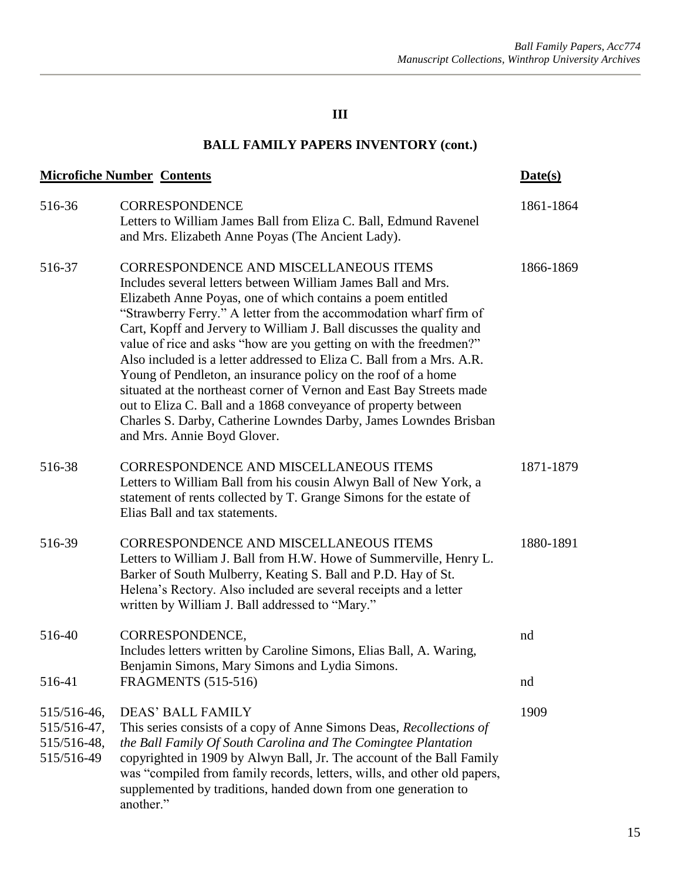| <b>Microfiche Number Contents</b>                       |                                                                                                                                                                                                                                                                                                                                                                                                                                                                                                                                                                                                                                                                                                                                                                                 | Date(s)   |
|---------------------------------------------------------|---------------------------------------------------------------------------------------------------------------------------------------------------------------------------------------------------------------------------------------------------------------------------------------------------------------------------------------------------------------------------------------------------------------------------------------------------------------------------------------------------------------------------------------------------------------------------------------------------------------------------------------------------------------------------------------------------------------------------------------------------------------------------------|-----------|
| 516-36                                                  | <b>CORRESPONDENCE</b><br>Letters to William James Ball from Eliza C. Ball, Edmund Ravenel<br>and Mrs. Elizabeth Anne Poyas (The Ancient Lady).                                                                                                                                                                                                                                                                                                                                                                                                                                                                                                                                                                                                                                  | 1861-1864 |
| 516-37                                                  | CORRESPONDENCE AND MISCELLANEOUS ITEMS<br>Includes several letters between William James Ball and Mrs.<br>Elizabeth Anne Poyas, one of which contains a poem entitled<br>"Strawberry Ferry." A letter from the accommodation wharf firm of<br>Cart, Kopff and Jervery to William J. Ball discusses the quality and<br>value of rice and asks "how are you getting on with the freedmen?"<br>Also included is a letter addressed to Eliza C. Ball from a Mrs. A.R.<br>Young of Pendleton, an insurance policy on the roof of a home<br>situated at the northeast corner of Vernon and East Bay Streets made<br>out to Eliza C. Ball and a 1868 conveyance of property between<br>Charles S. Darby, Catherine Lowndes Darby, James Lowndes Brisban<br>and Mrs. Annie Boyd Glover. | 1866-1869 |
| 516-38                                                  | <b>CORRESPONDENCE AND MISCELLANEOUS ITEMS</b><br>Letters to William Ball from his cousin Alwyn Ball of New York, a<br>statement of rents collected by T. Grange Simons for the estate of<br>Elias Ball and tax statements.                                                                                                                                                                                                                                                                                                                                                                                                                                                                                                                                                      | 1871-1879 |
| 516-39                                                  | CORRESPONDENCE AND MISCELLANEOUS ITEMS<br>Letters to William J. Ball from H.W. Howe of Summerville, Henry L.<br>Barker of South Mulberry, Keating S. Ball and P.D. Hay of St.<br>Helena's Rectory. Also included are several receipts and a letter<br>written by William J. Ball addressed to "Mary."                                                                                                                                                                                                                                                                                                                                                                                                                                                                           | 1880-1891 |
| 516-40                                                  | CORRESPONDENCE,<br>Includes letters written by Caroline Simons, Elias Ball, A. Waring,<br>Benjamin Simons, Mary Simons and Lydia Simons.                                                                                                                                                                                                                                                                                                                                                                                                                                                                                                                                                                                                                                        | nd        |
| 516-41                                                  | <b>FRAGMENTS</b> (515-516)                                                                                                                                                                                                                                                                                                                                                                                                                                                                                                                                                                                                                                                                                                                                                      | nd        |
| 515/516-46,<br>515/516-47,<br>515/516-48,<br>515/516-49 | <b>DEAS' BALL FAMILY</b><br>This series consists of a copy of Anne Simons Deas, Recollections of<br>the Ball Family Of South Carolina and The Comingtee Plantation<br>copyrighted in 1909 by Alwyn Ball, Jr. The account of the Ball Family<br>was "compiled from family records, letters, wills, and other old papers,<br>supplemented by traditions, handed down from one generation to<br>another."                                                                                                                                                                                                                                                                                                                                                                          | 1909      |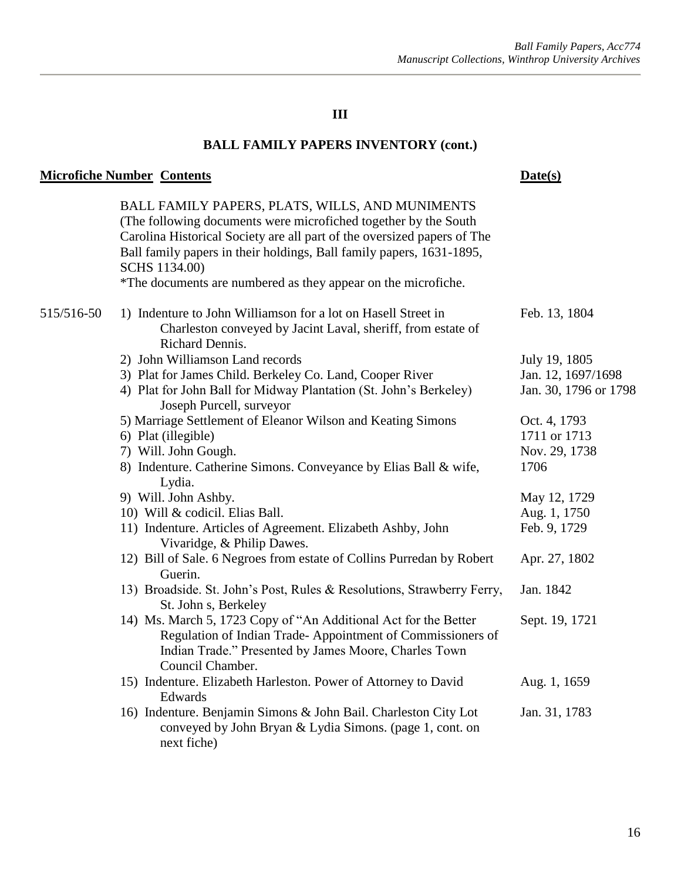# **BALL FAMILY PAPERS INVENTORY (cont.)**

# **Microfiche Number Contents Date(s)**

|            | BALL FAMILY PAPERS, PLATS, WILLS, AND MUNIMENTS<br>(The following documents were microfiched together by the South<br>Carolina Historical Society are all part of the oversized papers of The<br>Ball family papers in their holdings, Ball family papers, 1631-1895,<br>SCHS 1134.00)<br>*The documents are numbered as they appear on the microfiche. |                       |
|------------|---------------------------------------------------------------------------------------------------------------------------------------------------------------------------------------------------------------------------------------------------------------------------------------------------------------------------------------------------------|-----------------------|
| 515/516-50 | 1) Indenture to John Williamson for a lot on Hasell Street in<br>Charleston conveyed by Jacint Laval, sheriff, from estate of<br>Richard Dennis.                                                                                                                                                                                                        | Feb. 13, 1804         |
|            | 2) John Williamson Land records                                                                                                                                                                                                                                                                                                                         | July 19, 1805         |
|            | 3) Plat for James Child. Berkeley Co. Land, Cooper River                                                                                                                                                                                                                                                                                                | Jan. 12, 1697/1698    |
|            | 4) Plat for John Ball for Midway Plantation (St. John's Berkeley)<br>Joseph Purcell, surveyor                                                                                                                                                                                                                                                           | Jan. 30, 1796 or 1798 |
|            | 5) Marriage Settlement of Eleanor Wilson and Keating Simons                                                                                                                                                                                                                                                                                             | Oct. 4, 1793          |
|            | 6) Plat (illegible)                                                                                                                                                                                                                                                                                                                                     | 1711 or 1713          |
|            | 7) Will. John Gough.                                                                                                                                                                                                                                                                                                                                    | Nov. 29, 1738         |
|            | 8) Indenture. Catherine Simons. Conveyance by Elias Ball & wife,<br>Lydia.                                                                                                                                                                                                                                                                              | 1706                  |
|            | 9) Will. John Ashby.                                                                                                                                                                                                                                                                                                                                    | May 12, 1729          |
|            | 10) Will & codicil. Elias Ball.                                                                                                                                                                                                                                                                                                                         | Aug. 1, 1750          |
|            | 11) Indenture. Articles of Agreement. Elizabeth Ashby, John<br>Vivaridge, & Philip Dawes.                                                                                                                                                                                                                                                               | Feb. 9, 1729          |
|            | 12) Bill of Sale. 6 Negroes from estate of Collins Purredan by Robert<br>Guerin.                                                                                                                                                                                                                                                                        | Apr. 27, 1802         |
|            | 13) Broadside. St. John's Post, Rules & Resolutions, Strawberry Ferry,<br>St. John s, Berkeley                                                                                                                                                                                                                                                          | Jan. 1842             |
|            | 14) Ms. March 5, 1723 Copy of "An Additional Act for the Better<br>Regulation of Indian Trade-Appointment of Commissioners of<br>Indian Trade." Presented by James Moore, Charles Town<br>Council Chamber.                                                                                                                                              | Sept. 19, 1721        |
|            | 15) Indenture. Elizabeth Harleston. Power of Attorney to David<br>Edwards                                                                                                                                                                                                                                                                               | Aug. 1, 1659          |
|            | 16) Indenture. Benjamin Simons & John Bail. Charleston City Lot<br>conveyed by John Bryan & Lydia Simons. (page 1, cont. on<br>next fiche)                                                                                                                                                                                                              | Jan. 31, 1783         |